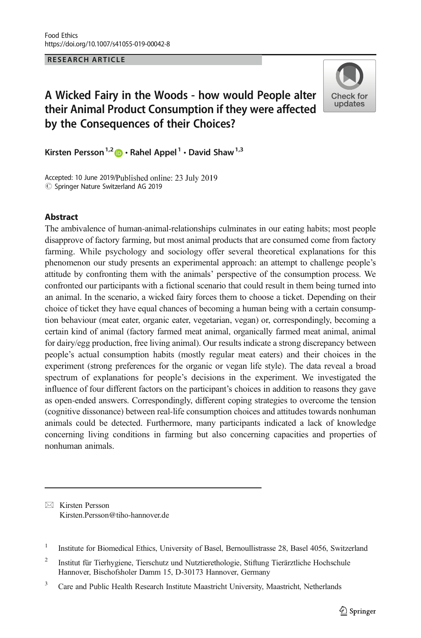#### RESEARCH ARTICLE

# A Wicked Fairy in the Woods - how would People alter their Animal Product Consumption if they were affected by the Consequences of their Choices?



Kirsten Persson<sup>1,2</sup>  $\bullet$  · Rahel Appel<sup>1</sup> · David Shaw<sup>1,3</sup>

Accepted: 10 June 2019/Published online: 23 July 2019  $\circledcirc$  Springer Nature Switzerland AG 2019

## Abstract

The ambivalence of human-animal-relationships culminates in our eating habits; most people disapprove of factory farming, but most animal products that are consumed come from factory farming. While psychology and sociology offer several theoretical explanations for this phenomenon our study presents an experimental approach: an attempt to challenge people's attitude by confronting them with the animals' perspective of the consumption process. We confronted our participants with a fictional scenario that could result in them being turned into an animal. In the scenario, a wicked fairy forces them to choose a ticket. Depending on their choice of ticket they have equal chances of becoming a human being with a certain consumption behaviour (meat eater, organic eater, vegetarian, vegan) or, correspondingly, becoming a certain kind of animal (factory farmed meat animal, organically farmed meat animal, animal for dairy/egg production, free living animal). Our results indicate a strong discrepancy between people's actual consumption habits (mostly regular meat eaters) and their choices in the experiment (strong preferences for the organic or vegan life style). The data reveal a broad spectrum of explanations for people's decisions in the experiment. We investigated the influence of four different factors on the participant's choices in addition to reasons they gave as open-ended answers. Correspondingly, different coping strategies to overcome the tension (cognitive dissonance) between real-life consumption choices and attitudes towards nonhuman animals could be detected. Furthermore, many participants indicated a lack of knowledge concerning living conditions in farming but also concerning capacities and properties of nonhuman animals.

 $\boxtimes$  Kirsten Persson [Kirsten.Persson@tiho-hannover.de](mailto:Kirsten.Persson@tihoannover.de)

<sup>&</sup>lt;sup>1</sup> Institute for Biomedical Ethics, University of Basel, Bernoullistrasse 28, Basel 4056, Switzerland

<sup>&</sup>lt;sup>2</sup> Institut für Tierhygiene, Tierschutz und Nutztierethologie, Stiftung Tierärztliche Hochschule Hannover, Bischofsholer Damm 15, D-30173 Hannover, Germany

<sup>&</sup>lt;sup>3</sup> Care and Public Health Research Institute Maastricht University, Maastricht, Netherlands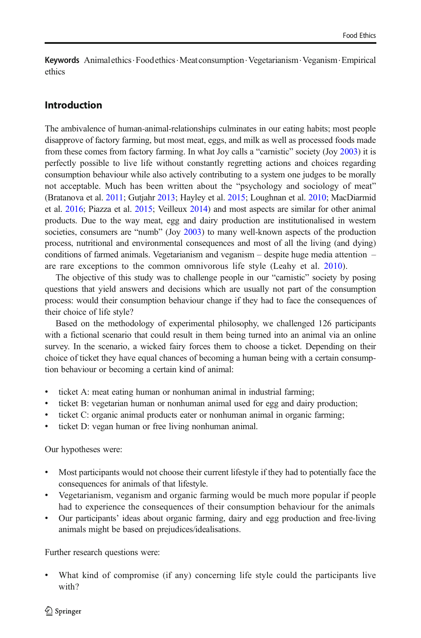Keywords Animal ethics Food ethics Meat consumption Vegetarianism Veganism. Empirical ethics

# Introduction

The ambivalence of human-animal-relationships culminates in our eating habits; most people disapprove of factory farming, but most meat, eggs, and milk as well as processed foods made from these comes from factory farming. In what Joy calls a "carnistic" society (Joy [2003\)](#page-18-0) it is perfectly possible to live life without constantly regretting actions and choices regarding consumption behaviour while also actively contributing to a system one judges to be morally not acceptable. Much has been written about the "psychology and sociology of meat" (Bratanova et al. [2011;](#page-18-0) Gutjahr [2013;](#page-18-0) Hayley et al. [2015](#page-18-0); Loughnan et al. [2010;](#page-19-0) MacDiarmid et al. [2016;](#page-19-0) Piazza et al. [2015](#page-19-0); Veilleux [2014\)](#page-19-0) and most aspects are similar for other animal products. Due to the way meat, egg and dairy production are institutionalised in western societies, consumers are "numb" (Joy [2003](#page-18-0)) to many well-known aspects of the production process, nutritional and environmental consequences and most of all the living (and dying) conditions of farmed animals. Vegetarianism and veganism – despite huge media attention – are rare exceptions to the common omnivorous life style (Leahy et al. [2010\)](#page-18-0).

The objective of this study was to challenge people in our "carnistic" society by posing questions that yield answers and decisions which are usually not part of the consumption process: would their consumption behaviour change if they had to face the consequences of their choice of life style?

Based on the methodology of experimental philosophy, we challenged 126 participants with a fictional scenario that could result in them being turned into an animal via an online survey. In the scenario, a wicked fairy forces them to choose a ticket. Depending on their choice of ticket they have equal chances of becoming a human being with a certain consumption behaviour or becoming a certain kind of animal:

- & ticket A: meat eating human or nonhuman animal in industrial farming;
- ticket B: vegetarian human or nonhuman animal used for egg and dairy production;
- & ticket C: organic animal products eater or nonhuman animal in organic farming;
- ticket D: vegan human or free living nonhuman animal.

#### Our hypotheses were:

- Most participants would not choose their current lifestyle if they had to potentially face the consequences for animals of that lifestyle.
- Vegetarianism, veganism and organic farming would be much more popular if people had to experience the consequences of their consumption behaviour for the animals
- & Our participants' ideas about organic farming, dairy and egg production and free-living animals might be based on prejudices/idealisations.

#### Further research questions were:

What kind of compromise (if any) concerning life style could the participants live with?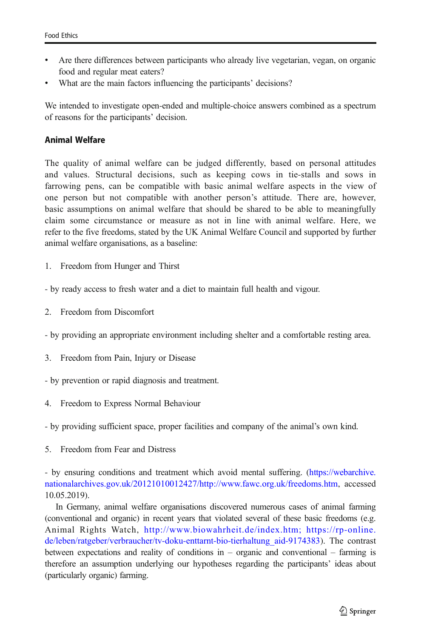- & Are there differences between participants who already live vegetarian, vegan, on organic food and regular meat eaters?
- What are the main factors influencing the participants' decisions?

We intended to investigate open-ended and multiple-choice answers combined as a spectrum of reasons for the participants' decision.

### Animal Welfare

The quality of animal welfare can be judged differently, based on personal attitudes and values. Structural decisions, such as keeping cows in tie-stalls and sows in farrowing pens, can be compatible with basic animal welfare aspects in the view of one person but not compatible with another person's attitude. There are, however, basic assumptions on animal welfare that should be shared to be able to meaningfully claim some circumstance or measure as not in line with animal welfare. Here, we refer to the five freedoms, stated by the UK Animal Welfare Council and supported by further animal welfare organisations, as a baseline:

- 1. Freedom from Hunger and Thirst
- by ready access to fresh water and a diet to maintain full health and vigour.
- 2. Freedom from Discomfort
- by providing an appropriate environment including shelter and a comfortable resting area.
- 3. Freedom from Pain, Injury or Disease
- by prevention or rapid diagnosis and treatment.
- 4. Freedom to Express Normal Behaviour

- by providing sufficient space, proper facilities and company of the animal's own kind.

5. Freedom from Fear and Distress

- by ensuring conditions and treatment which avoid mental suffering. ([https://webarchive.](https://webarchive.nationalarchives.gov.uk/20121010012427/http://www.fawc.org.uk/freedoms.htm) [nationalarchives.gov.uk/20121010012427/http://www.fawc.org.uk/freedoms.htm,](https://webarchive.nationalarchives.gov.uk/20121010012427/http://www.fawc.org.uk/freedoms.htm) accessed 10.05.2019).

In Germany, animal welfare organisations discovered numerous cases of animal farming (conventional and organic) in recent years that violated several of these basic freedoms (e.g. Animal Rights Watch, <http://www.biowahrheit.de/index.htm;> [https://rp-online.](https://rp-online.de/leben/ratgeber/verbraucher/tv-doku-enttarnt-bio-tierhaltung_aid-9174383) [de/leben/ratgeber/verbraucher/tv-doku-enttarnt-bio-tierhaltung\\_aid-9174383](https://rp-online.de/leben/ratgeber/verbraucher/tv-doku-enttarnt-bio-tierhaltung_aid-9174383)). The contrast between expectations and reality of conditions in – organic and conventional – farming is therefore an assumption underlying our hypotheses regarding the participants' ideas about (particularly organic) farming.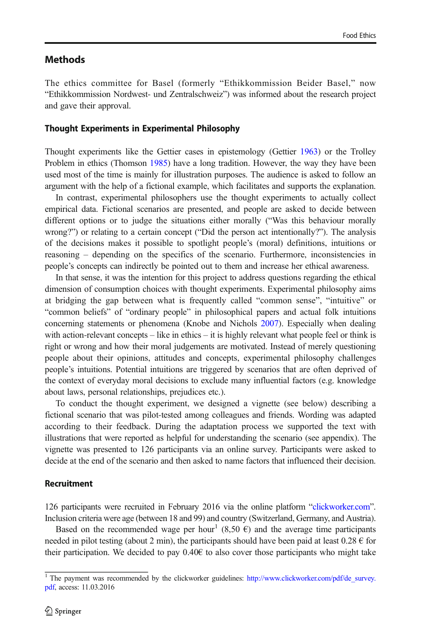# **Methods**

The ethics committee for Basel (formerly "Ethikkommission Beider Basel," now "Ethikkommission Nordwest- und Zentralschweiz") was informed about the research project and gave their approval.

#### Thought Experiments in Experimental Philosophy

Thought experiments like the Gettier cases in epistemology (Gettier [1963\)](#page-18-0) or the Trolley Problem in ethics (Thomson [1985\)](#page-19-0) have a long tradition. However, the way they have been used most of the time is mainly for illustration purposes. The audience is asked to follow an argument with the help of a fictional example, which facilitates and supports the explanation.

In contrast, experimental philosophers use the thought experiments to actually collect empirical data. Fictional scenarios are presented, and people are asked to decide between different options or to judge the situations either morally ("Was this behaviour morally wrong?") or relating to a certain concept ("Did the person act intentionally?"). The analysis of the decisions makes it possible to spotlight people's (moral) definitions, intuitions or reasoning – depending on the specifics of the scenario. Furthermore, inconsistencies in people's concepts can indirectly be pointed out to them and increase her ethical awareness.

In that sense, it was the intention for this project to address questions regarding the ethical dimension of consumption choices with thought experiments. Experimental philosophy aims at bridging the gap between what is frequently called "common sense", "intuitive" or "common beliefs" of "ordinary people" in philosophical papers and actual folk intuitions concerning statements or phenomena (Knobe and Nichols [2007\)](#page-18-0). Especially when dealing with action-relevant concepts – like in ethics – it is highly relevant what people feel or think is right or wrong and how their moral judgements are motivated. Instead of merely questioning people about their opinions, attitudes and concepts, experimental philosophy challenges people's intuitions. Potential intuitions are triggered by scenarios that are often deprived of the context of everyday moral decisions to exclude many influential factors (e.g. knowledge about laws, personal relationships, prejudices etc.).

To conduct the thought experiment, we designed a vignette (see below) describing a fictional scenario that was pilot-tested among colleagues and friends. Wording was adapted according to their feedback. During the adaptation process we supported the text with illustrations that were reported as helpful for understanding the scenario (see appendix). The vignette was presented to 126 participants via an online survey. Participants were asked to decide at the end of the scenario and then asked to name factors that influenced their decision.

#### Recruitment

126 participants were recruited in February 2016 via the online platform "[clickworker.com](http://clickworker.com)". Inclusion criteria were age (between 18 and 99) and country (Switzerland, Germany, and Austria).

Based on the recommended wage per hour<sup>1</sup> (8,50  $\epsilon$ ) and the average time participants needed in pilot testing (about 2 min), the participants should have been paid at least  $0.28 \in$  for their participation. We decided to pay  $0.40 \epsilon$  to also cover those participants who might take

<sup>&</sup>lt;sup>1</sup> The payment was recommended by the clickworker guidelines: [http://www.clickworker.com/pdf/de\\_survey.](http://www.clickworker.com/pdf/de_survey.pdf) [pdf,](http://www.clickworker.com/pdf/de_survey.pdf) access: 11.03.2016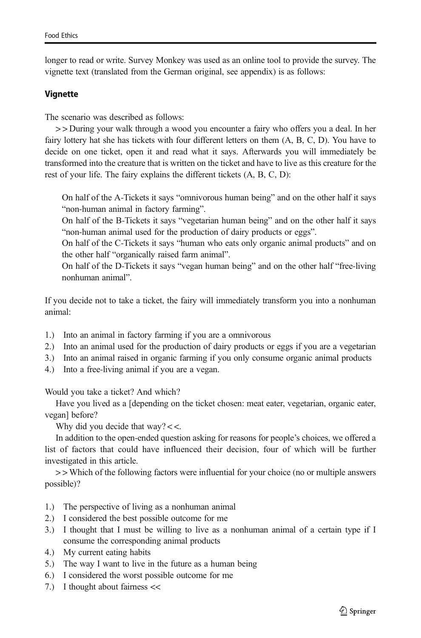longer to read or write. Survey Monkey was used as an online tool to provide the survey. The vignette text (translated from the German original, see appendix) is as follows:

### Vignette

The scenario was described as follows:

> > During your walk through a wood you encounter a fairy who offers you a deal. In her fairy lottery hat she has tickets with four different letters on them (A, B, C, D). You have to decide on one ticket, open it and read what it says. Afterwards you will immediately be transformed into the creature that is written on the ticket and have to live as this creature for the rest of your life. The fairy explains the different tickets (A, B, C, D):

On half of the A-Tickets it says "omnivorous human being" and on the other half it says "non-human animal in factory farming".

On half of the B-Tickets it says "vegetarian human being" and on the other half it says "non-human animal used for the production of dairy products or eggs".

On half of the C-Tickets it says "human who eats only organic animal products" and on the other half "organically raised farm animal".

On half of the D-Tickets it says "vegan human being" and on the other half "free-living nonhuman animal".

If you decide not to take a ticket, the fairy will immediately transform you into a nonhuman animal:

- 1.) Into an animal in factory farming if you are a omnivorous
- 2.) Into an animal used for the production of dairy products or eggs if you are a vegetarian
- 3.) Into an animal raised in organic farming if you only consume organic animal products
- 4.) Into a free-living animal if you are a vegan.

Would you take a ticket? And which?

Have you lived as a [depending on the ticket chosen: meat eater, vegetarian, organic eater, vegan] before?

Why did you decide that way? <<.

In addition to the open-ended question asking for reasons for people's choices, we offered a list of factors that could have influenced their decision, four of which will be further investigated in this article.

> > Which of the following factors were influential for your choice (no or multiple answers possible)?

- 1.) The perspective of living as a nonhuman animal
- 2.) I considered the best possible outcome for me
- 3.) I thought that I must be willing to live as a nonhuman animal of a certain type if I consume the corresponding animal products
- 4.) My current eating habits
- 5.) The way I want to live in the future as a human being
- 6.) I considered the worst possible outcome for me
- 7.) I thought about fairness <<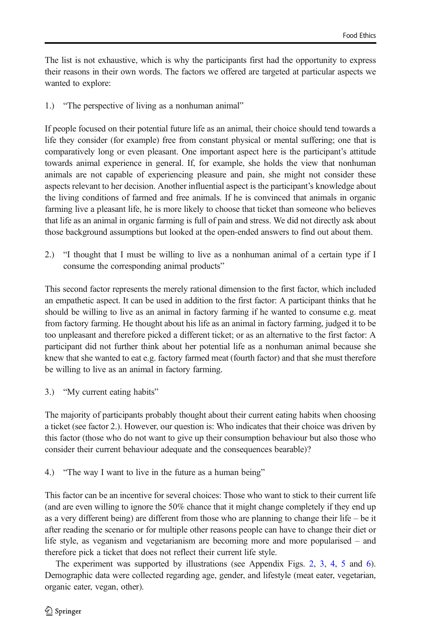The list is not exhaustive, which is why the participants first had the opportunity to express their reasons in their own words. The factors we offered are targeted at particular aspects we wanted to explore:

1.) "The perspective of living as a nonhuman animal"

If people focused on their potential future life as an animal, their choice should tend towards a life they consider (for example) free from constant physical or mental suffering; one that is comparatively long or even pleasant. One important aspect here is the participant's attitude towards animal experience in general. If, for example, she holds the view that nonhuman animals are not capable of experiencing pleasure and pain, she might not consider these aspects relevant to her decision. Another influential aspect is the participant's knowledge about the living conditions of farmed and free animals. If he is convinced that animals in organic farming live a pleasant life, he is more likely to choose that ticket than someone who believes that life as an animal in organic farming is full of pain and stress. We did not directly ask about those background assumptions but looked at the open-ended answers to find out about them.

2.) "I thought that I must be willing to live as a nonhuman animal of a certain type if I consume the corresponding animal products"

This second factor represents the merely rational dimension to the first factor, which included an empathetic aspect. It can be used in addition to the first factor: A participant thinks that he should be willing to live as an animal in factory farming if he wanted to consume e.g. meat from factory farming. He thought about his life as an animal in factory farming, judged it to be too unpleasant and therefore picked a different ticket; or as an alternative to the first factor: A participant did not further think about her potential life as a nonhuman animal because she knew that she wanted to eat e.g. factory farmed meat (fourth factor) and that she must therefore be willing to live as an animal in factory farming.

3.) "My current eating habits"

The majority of participants probably thought about their current eating habits when choosing a ticket (see factor 2.). However, our question is: Who indicates that their choice was driven by this factor (those who do not want to give up their consumption behaviour but also those who consider their current behaviour adequate and the consequences bearable)?

4.) "The way I want to live in the future as a human being"

This factor can be an incentive for several choices: Those who want to stick to their current life (and are even willing to ignore the 50% chance that it might change completely if they end up as a very different being) are different from those who are planning to change their life – be it after reading the scenario or for multiple other reasons people can have to change their diet or life style, as veganism and vegetarianism are becoming more and more popularised – and therefore pick a ticket that does not reflect their current life style.

The experiment was supported by illustrations (see Appendix Figs. [2,](#page-17-0) [3,](#page-17-0) [4,](#page-17-0) [5](#page-18-0) and [6](#page-18-0)). Demographic data were collected regarding age, gender, and lifestyle (meat eater, vegetarian, organic eater, vegan, other).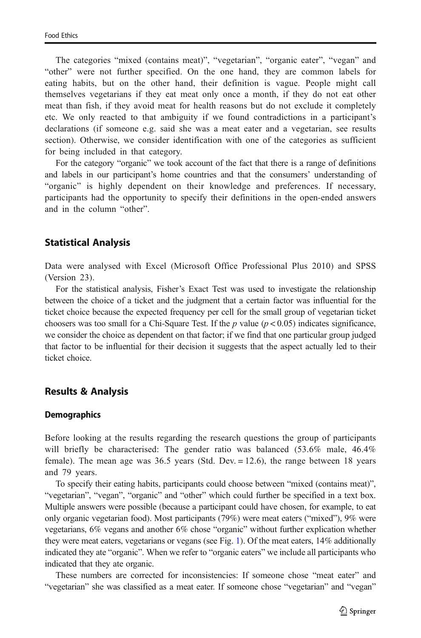The categories "mixed (contains meat)", "vegetarian", "organic eater", "vegan" and "other" were not further specified. On the one hand, they are common labels for eating habits, but on the other hand, their definition is vague. People might call themselves vegetarians if they eat meat only once a month, if they do not eat other meat than fish, if they avoid meat for health reasons but do not exclude it completely etc. We only reacted to that ambiguity if we found contradictions in a participant's declarations (if someone e.g. said she was a meat eater and a vegetarian, see results section). Otherwise, we consider identification with one of the categories as sufficient for being included in that category.

For the category "organic" we took account of the fact that there is a range of definitions and labels in our participant's home countries and that the consumers' understanding of "organic" is highly dependent on their knowledge and preferences. If necessary, participants had the opportunity to specify their definitions in the open-ended answers and in the column "other".

### Statistical Analysis

Data were analysed with Excel (Microsoft Office Professional Plus 2010) and SPSS (Version 23).

For the statistical analysis, Fisher's Exact Test was used to investigate the relationship between the choice of a ticket and the judgment that a certain factor was influential for the ticket choice because the expected frequency per cell for the small group of vegetarian ticket choosers was too small for a Chi-Square Test. If the  $p$  value ( $p < 0.05$ ) indicates significance, we consider the choice as dependent on that factor; if we find that one particular group judged that factor to be influential for their decision it suggests that the aspect actually led to their ticket choice.

### Results & Analysis

#### **Demographics**

Before looking at the results regarding the research questions the group of participants will briefly be characterised: The gender ratio was balanced (53.6% male, 46.4%) female). The mean age was 36.5 years (Std. Dev. = 12.6), the range between 18 years and 79 years.

To specify their eating habits, participants could choose between "mixed (contains meat)", "vegetarian", "vegan", "organic" and "other" which could further be specified in a text box. Multiple answers were possible (because a participant could have chosen, for example, to eat only organic vegetarian food). Most participants (79%) were meat eaters ("mixed"), 9% were vegetarians, 6% vegans and another 6% chose "organic" without further explication whether they were meat eaters, vegetarians or vegans (see Fig. [1\)](#page-7-0). Of the meat eaters, 14% additionally indicated they ate "organic". When we refer to "organic eaters" we include all participants who indicated that they ate organic.

These numbers are corrected for inconsistencies: If someone chose "meat eater" and "vegetarian" she was classified as a meat eater. If someone chose "vegetarian" and "vegan"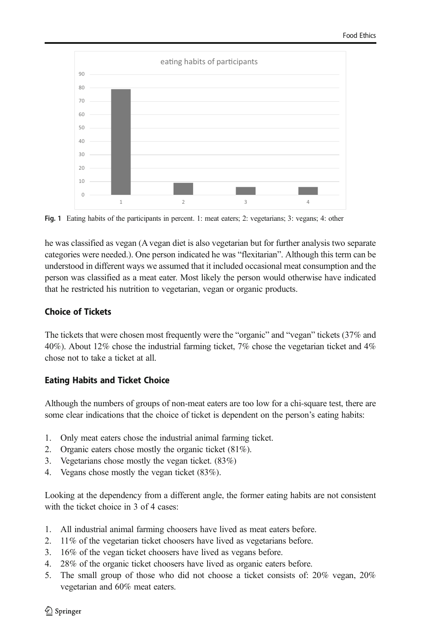<span id="page-7-0"></span>

Fig. 1 Eating habits of the participants in percent. 1: meat eaters; 2: vegetarians; 3: vegans; 4: other

he was classified as vegan (A vegan diet is also vegetarian but for further analysis two separate categories were needed.). One person indicated he was "flexitarian". Although this term can be understood in different ways we assumed that it included occasional meat consumption and the person was classified as a meat eater. Most likely the person would otherwise have indicated that he restricted his nutrition to vegetarian, vegan or organic products.

# Choice of Tickets

The tickets that were chosen most frequently were the "organic" and "vegan" tickets (37% and 40%). About 12% chose the industrial farming ticket, 7% chose the vegetarian ticket and  $4\%$ chose not to take a ticket at all.

# Eating Habits and Ticket Choice

Although the numbers of groups of non-meat eaters are too low for a chi-square test, there are some clear indications that the choice of ticket is dependent on the person's eating habits:

- 1. Only meat eaters chose the industrial animal farming ticket.
- 2. Organic eaters chose mostly the organic ticket (81%).
- 3. Vegetarians chose mostly the vegan ticket. (83%)
- 4. Vegans chose mostly the vegan ticket (83%).

Looking at the dependency from a different angle, the former eating habits are not consistent with the ticket choice in 3 of 4 cases:

- 1. All industrial animal farming choosers have lived as meat eaters before.
- 2. 11% of the vegetarian ticket choosers have lived as vegetarians before.
- 3. 16% of the vegan ticket choosers have lived as vegans before.
- 4. 28% of the organic ticket choosers have lived as organic eaters before.
- 5. The small group of those who did not choose a ticket consists of: 20% vegan, 20% vegetarian and 60% meat eaters.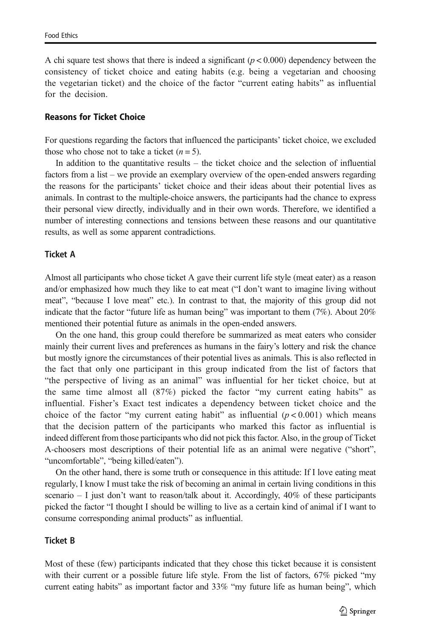A chi square test shows that there is indeed a significant ( $p < 0.000$ ) dependency between the consistency of ticket choice and eating habits (e.g. being a vegetarian and choosing the vegetarian ticket) and the choice of the factor "current eating habits" as influential for the decision.

### Reasons for Ticket Choice

For questions regarding the factors that influenced the participants' ticket choice, we excluded those who chose not to take a ticket  $(n=5)$ .

In addition to the quantitative results  $-$  the ticket choice and the selection of influential factors from a list – we provide an exemplary overview of the open-ended answers regarding the reasons for the participants' ticket choice and their ideas about their potential lives as animals. In contrast to the multiple-choice answers, the participants had the chance to express their personal view directly, individually and in their own words. Therefore, we identified a number of interesting connections and tensions between these reasons and our quantitative results, as well as some apparent contradictions.

#### Ticket A

Almost all participants who chose ticket A gave their current life style (meat eater) as a reason and/or emphasized how much they like to eat meat ("I don't want to imagine living without meat", "because I love meat" etc.). In contrast to that, the majority of this group did not indicate that the factor "future life as human being" was important to them (7%). About 20% mentioned their potential future as animals in the open-ended answers.

On the one hand, this group could therefore be summarized as meat eaters who consider mainly their current lives and preferences as humans in the fairy's lottery and risk the chance but mostly ignore the circumstances of their potential lives as animals. This is also reflected in the fact that only one participant in this group indicated from the list of factors that "the perspective of living as an animal" was influential for her ticket choice, but at the same time almost all (87%) picked the factor "my current eating habits" as influential. Fisher's Exact test indicates a dependency between ticket choice and the choice of the factor "my current eating habit" as influential  $(p < 0.001)$  which means that the decision pattern of the participants who marked this factor as influential is indeed different from those participants who did not pick this factor. Also, in the group of Ticket A-choosers most descriptions of their potential life as an animal were negative ("short", "uncomfortable", "being killed/eaten").

On the other hand, there is some truth or consequence in this attitude: If I love eating meat regularly, I know I must take the risk of becoming an animal in certain living conditions in this scenario – I just don't want to reason/talk about it. Accordingly,  $40\%$  of these participants picked the factor "I thought I should be willing to live as a certain kind of animal if I want to consume corresponding animal products" as influential.

#### Ticket B

Most of these (few) participants indicated that they chose this ticket because it is consistent with their current or a possible future life style. From the list of factors, 67% picked "my current eating habits" as important factor and 33% "my future life as human being", which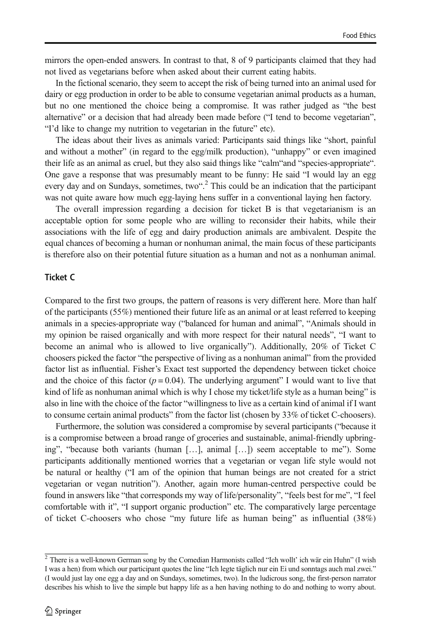mirrors the open-ended answers. In contrast to that, 8 of 9 participants claimed that they had not lived as vegetarians before when asked about their current eating habits.

In the fictional scenario, they seem to accept the risk of being turned into an animal used for dairy or egg production in order to be able to consume vegetarian animal products as a human, but no one mentioned the choice being a compromise. It was rather judged as "the best alternative" or a decision that had already been made before ("I tend to become vegetarian", "I'd like to change my nutrition to vegetarian in the future" etc).

The ideas about their lives as animals varied: Participants said things like "short, painful and without a mother" (in regard to the egg/milk production), "unhappy" or even imagined their life as an animal as cruel, but they also said things like "calm"and "species-appropriate". One gave a response that was presumably meant to be funny: He said "I would lay an egg every day and on Sundays, sometimes, two".<sup>2</sup> This could be an indication that the participant was not quite aware how much egg-laying hens suffer in a conventional laying hen factory.

The overall impression regarding a decision for ticket B is that vegetarianism is an acceptable option for some people who are willing to reconsider their habits, while their associations with the life of egg and dairy production animals are ambivalent. Despite the equal chances of becoming a human or nonhuman animal, the main focus of these participants is therefore also on their potential future situation as a human and not as a nonhuman animal.

### Ticket C

Compared to the first two groups, the pattern of reasons is very different here. More than half of the participants (55%) mentioned their future life as an animal or at least referred to keeping animals in a species-appropriate way ("balanced for human and animal", "Animals should in my opinion be raised organically and with more respect for their natural needs", "I want to become an animal who is allowed to live organically"). Additionally, 20% of Ticket C choosers picked the factor "the perspective of living as a nonhuman animal" from the provided factor list as influential. Fisher's Exact test supported the dependency between ticket choice and the choice of this factor  $(p = 0.04)$ . The underlying argument" I would want to live that kind of life as nonhuman animal which is why I chose my ticket/life style as a human being" is also in line with the choice of the factor "willingness to live as a certain kind of animal if I want to consume certain animal products" from the factor list (chosen by 33% of ticket C-choosers).

Furthermore, the solution was considered a compromise by several participants ("because it is a compromise between a broad range of groceries and sustainable, animal-friendly upbringing", "because both variants (human […], animal […]) seem acceptable to me"). Some participants additionally mentioned worries that a vegetarian or vegan life style would not be natural or healthy ("I am of the opinion that human beings are not created for a strict vegetarian or vegan nutrition"). Another, again more human-centred perspective could be found in answers like "that corresponds my way of life/personality", "feels best for me", "I feel comfortable with it", "I support organic production" etc. The comparatively large percentage of ticket C-choosers who chose "my future life as human being" as influential (38%)

<sup>2</sup> There is a well-known German song by the Comedian Harmonists called "Ich wollt' ich wär ein Huhn" (I wish I was a hen) from which our participant quotes the line "Ich legte täglich nur ein Ei und sonntags auch mal zwei." (I would just lay one egg a day and on Sundays, sometimes, two). In the ludicrous song, the first-person narrator describes his whish to live the simple but happy life as a hen having nothing to do and nothing to worry about.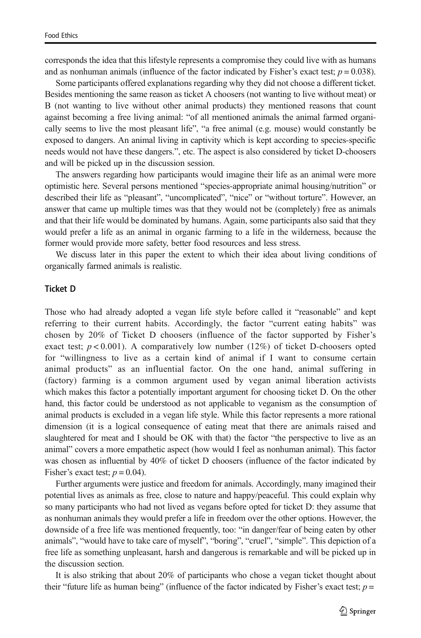corresponds the idea that this lifestyle represents a compromise they could live with as humans and as nonhuman animals (influence of the factor indicated by Fisher's exact test;  $p = 0.038$ ).

Some participants offered explanations regarding why they did not choose a different ticket. Besides mentioning the same reason as ticket A choosers (not wanting to live without meat) or B (not wanting to live without other animal products) they mentioned reasons that count against becoming a free living animal: "of all mentioned animals the animal farmed organically seems to live the most pleasant life", "a free animal (e.g. mouse) would constantly be exposed to dangers. An animal living in captivity which is kept according to species-specific needs would not have these dangers.", etc. The aspect is also considered by ticket D-choosers and will be picked up in the discussion session.

The answers regarding how participants would imagine their life as an animal were more optimistic here. Several persons mentioned "species-appropriate animal housing/nutrition" or described their life as "pleasant", "uncomplicated", "nice" or "without torture". However, an answer that came up multiple times was that they would not be (completely) free as animals and that their life would be dominated by humans. Again, some participants also said that they would prefer a life as an animal in organic farming to a life in the wilderness, because the former would provide more safety, better food resources and less stress.

We discuss later in this paper the extent to which their idea about living conditions of organically farmed animals is realistic.

#### Ticket D

Those who had already adopted a vegan life style before called it "reasonable" and kept referring to their current habits. Accordingly, the factor "current eating habits" was chosen by 20% of Ticket D choosers (influence of the factor supported by Fisher's exact test;  $p < 0.001$ ). A comparatively low number (12%) of ticket D-choosers opted for "willingness to live as a certain kind of animal if I want to consume certain animal products" as an influential factor. On the one hand, animal suffering in (factory) farming is a common argument used by vegan animal liberation activists which makes this factor a potentially important argument for choosing ticket D. On the other hand, this factor could be understood as not applicable to veganism as the consumption of animal products is excluded in a vegan life style. While this factor represents a more rational dimension (it is a logical consequence of eating meat that there are animals raised and slaughtered for meat and I should be OK with that) the factor "the perspective to live as an animal" covers a more empathetic aspect (how would I feel as nonhuman animal). This factor was chosen as influential by 40% of ticket D choosers (influence of the factor indicated by Fisher's exact test;  $p = 0.04$ ).

Further arguments were justice and freedom for animals. Accordingly, many imagined their potential lives as animals as free, close to nature and happy/peaceful. This could explain why so many participants who had not lived as vegans before opted for ticket D: they assume that as nonhuman animals they would prefer a life in freedom over the other options. However, the downside of a free life was mentioned frequently, too: "in danger/fear of being eaten by other animals", "would have to take care of myself", "boring", "cruel", "simple". This depiction of a free life as something unpleasant, harsh and dangerous is remarkable and will be picked up in the discussion section.

It is also striking that about 20% of participants who chose a vegan ticket thought about their "future life as human being" (influence of the factor indicated by Fisher's exact test;  $p =$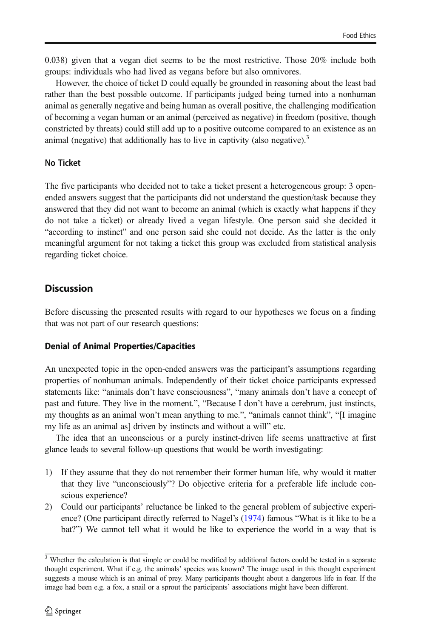0.038) given that a vegan diet seems to be the most restrictive. Those 20% include both groups: individuals who had lived as vegans before but also omnivores.

However, the choice of ticket D could equally be grounded in reasoning about the least bad rather than the best possible outcome. If participants judged being turned into a nonhuman animal as generally negative and being human as overall positive, the challenging modification of becoming a vegan human or an animal (perceived as negative) in freedom (positive, though constricted by threats) could still add up to a positive outcome compared to an existence as an animal (negative) that additionally has to live in captivity (also negative).<sup>3</sup>

# No Ticket

The five participants who decided not to take a ticket present a heterogeneous group: 3 openended answers suggest that the participants did not understand the question/task because they answered that they did not want to become an animal (which is exactly what happens if they do not take a ticket) or already lived a vegan lifestyle. One person said she decided it "according to instinct" and one person said she could not decide. As the latter is the only meaningful argument for not taking a ticket this group was excluded from statistical analysis regarding ticket choice.

# **Discussion**

Before discussing the presented results with regard to our hypotheses we focus on a finding that was not part of our research questions:

# Denial of Animal Properties/Capacities

An unexpected topic in the open-ended answers was the participant's assumptions regarding properties of nonhuman animals. Independently of their ticket choice participants expressed statements like: "animals don't have consciousness", "many animals don't have a concept of past and future. They live in the moment.", "Because I don't have a cerebrum, just instincts, my thoughts as an animal won't mean anything to me.", "animals cannot think", "[I imagine my life as an animal as] driven by instincts and without a will" etc.

The idea that an unconscious or a purely instinct-driven life seems unattractive at first glance leads to several follow-up questions that would be worth investigating:

- 1) If they assume that they do not remember their former human life, why would it matter that they live "unconsciously"? Do objective criteria for a preferable life include conscious experience?
- 2) Could our participants' reluctance be linked to the general problem of subjective experience? (One participant directly referred to Nagel's [\(1974](#page-19-0)) famous "What is it like to be a bat?") We cannot tell what it would be like to experience the world in a way that is

 $\frac{3}{3}$  Whether the calculation is that simple or could be modified by additional factors could be tested in a separate thought experiment. What if e.g. the animals' species was known? The image used in this thought experiment suggests a mouse which is an animal of prey. Many participants thought about a dangerous life in fear. If the image had been e.g. a fox, a snail or a sprout the participants' associations might have been different.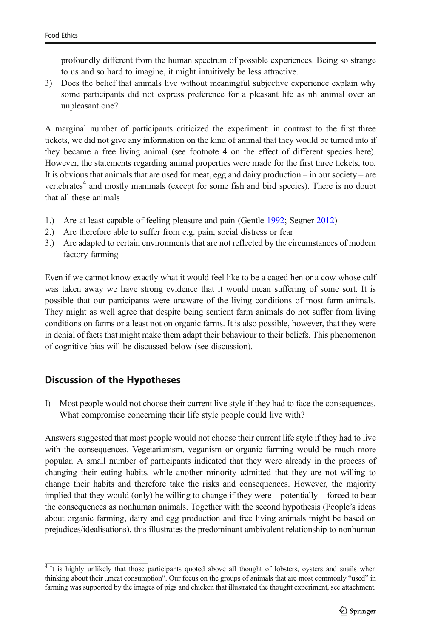profoundly different from the human spectrum of possible experiences. Being so strange to us and so hard to imagine, it might intuitively be less attractive.

3) Does the belief that animals live without meaningful subjective experience explain why some participants did not express preference for a pleasant life as nh animal over an unpleasant one?

A marginal number of participants criticized the experiment: in contrast to the first three tickets, we did not give any information on the kind of animal that they would be turned into if they became a free living animal (see footnote 4 on the effect of different species here). However, the statements regarding animal properties were made for the first three tickets, too. It is obvious that animals that are used for meat, egg and dairy production – in our society – are vertebrates<sup>4</sup> and mostly mammals (except for some fish and bird species). There is no doubt that all these animals

- 1.) Are at least capable of feeling pleasure and pain (Gentle [1992](#page-18-0); Segner [2012](#page-19-0))
- 2.) Are therefore able to suffer from e.g. pain, social distress or fear
- 3.) Are adapted to certain environments that are not reflected by the circumstances of modern factory farming

Even if we cannot know exactly what it would feel like to be a caged hen or a cow whose calf was taken away we have strong evidence that it would mean suffering of some sort. It is possible that our participants were unaware of the living conditions of most farm animals. They might as well agree that despite being sentient farm animals do not suffer from living conditions on farms or a least not on organic farms. It is also possible, however, that they were in denial of facts that might make them adapt their behaviour to their beliefs. This phenomenon of cognitive bias will be discussed below (see discussion).

# Discussion of the Hypotheses

I) Most people would not choose their current live style if they had to face the consequences. What compromise concerning their life style people could live with?

Answers suggested that most people would not choose their current life style if they had to live with the consequences. Vegetarianism, veganism or organic farming would be much more popular. A small number of participants indicated that they were already in the process of changing their eating habits, while another minority admitted that they are not willing to change their habits and therefore take the risks and consequences. However, the majority implied that they would (only) be willing to change if they were – potentially – forced to bear the consequences as nonhuman animals. Together with the second hypothesis (People's ideas about organic farming, dairy and egg production and free living animals might be based on prejudices/idealisations), this illustrates the predominant ambivalent relationship to nonhuman

<sup>&</sup>lt;sup>4</sup> It is highly unlikely that those participants quoted above all thought of lobsters, oysters and snails when thinking about their ,, meat consumption". Our focus on the groups of animals that are most commonly "used" in farming was supported by the images of pigs and chicken that illustrated the thought experiment, see attachment.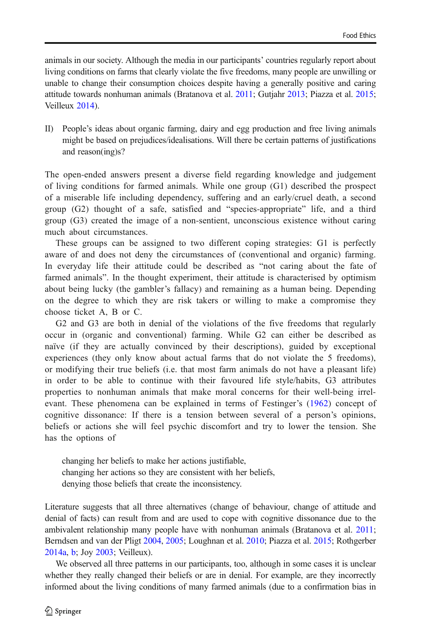animals in our society. Although the media in our participants' countries regularly report about living conditions on farms that clearly violate the five freedoms, many people are unwilling or unable to change their consumption choices despite having a generally positive and caring attitude towards nonhuman animals (Bratanova et al. [2011](#page-18-0); Gutjahr [2013;](#page-18-0) Piazza et al. [2015](#page-19-0); Veilleux [2014\)](#page-19-0).

II) People's ideas about organic farming, dairy and egg production and free living animals might be based on prejudices/idealisations. Will there be certain patterns of justifications and reason(ing)s?

The open-ended answers present a diverse field regarding knowledge and judgement of living conditions for farmed animals. While one group (G1) described the prospect of a miserable life including dependency, suffering and an early/cruel death, a second group (G2) thought of a safe, satisfied and "species-appropriate" life, and a third group (G3) created the image of a non-sentient, unconscious existence without caring much about circumstances.

These groups can be assigned to two different coping strategies: G1 is perfectly aware of and does not deny the circumstances of (conventional and organic) farming. In everyday life their attitude could be described as "not caring about the fate of farmed animals". In the thought experiment, their attitude is characterised by optimism about being lucky (the gambler's fallacy) and remaining as a human being. Depending on the degree to which they are risk takers or willing to make a compromise they choose ticket A, B or C.

G2 and G3 are both in denial of the violations of the five freedoms that regularly occur in (organic and conventional) farming. While G2 can either be described as naïve (if they are actually convinced by their descriptions), guided by exceptional experiences (they only know about actual farms that do not violate the 5 freedoms), or modifying their true beliefs (i.e. that most farm animals do not have a pleasant life) in order to be able to continue with their favoured life style/habits, G3 attributes properties to nonhuman animals that make moral concerns for their well-being irrelevant. These phenomena can be explained in terms of Festinger's [\(1962\)](#page-18-0) concept of cognitive dissonance: If there is a tension between several of a person's opinions, beliefs or actions she will feel psychic discomfort and try to lower the tension. She has the options of

changing her beliefs to make her actions justifiable, changing her actions so they are consistent with her beliefs, denying those beliefs that create the inconsistency.

Literature suggests that all three alternatives (change of behaviour, change of attitude and denial of facts) can result from and are used to cope with cognitive dissonance due to the ambivalent relationship many people have with nonhuman animals (Bratanova et al. [2011](#page-18-0); Berndsen and van der Pligt [2004](#page-18-0), [2005;](#page-18-0) Loughnan et al. [2010;](#page-19-0) Piazza et al. [2015](#page-19-0); Rothgerber [2014a](#page-19-0), [b](#page-19-0); Joy [2003;](#page-18-0) Veilleux).

We observed all three patterns in our participants, too, although in some cases it is unclear whether they really changed their beliefs or are in denial. For example, are they incorrectly informed about the living conditions of many farmed animals (due to a confirmation bias in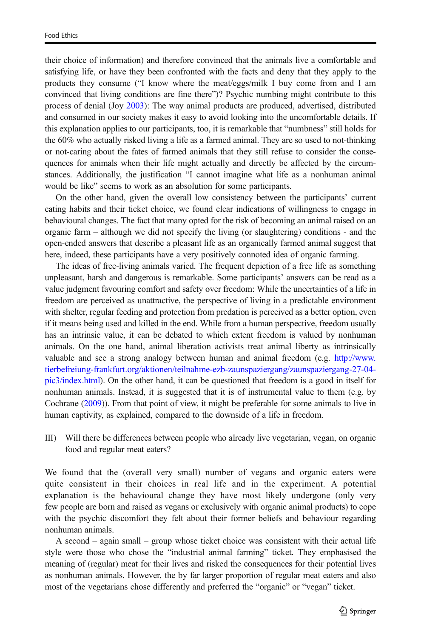their choice of information) and therefore convinced that the animals live a comfortable and satisfying life, or have they been confronted with the facts and deny that they apply to the products they consume ("I know where the meat/eggs/milk I buy come from and I am convinced that living conditions are fine there")? Psychic numbing might contribute to this process of denial (Joy [2003\)](#page-18-0): The way animal products are produced, advertised, distributed and consumed in our society makes it easy to avoid looking into the uncomfortable details. If this explanation applies to our participants, too, it is remarkable that "numbness" still holds for the 60% who actually risked living a life as a farmed animal. They are so used to not-thinking or not-caring about the fates of farmed animals that they still refuse to consider the consequences for animals when their life might actually and directly be affected by the circumstances. Additionally, the justification "I cannot imagine what life as a nonhuman animal would be like" seems to work as an absolution for some participants.

On the other hand, given the overall low consistency between the participants' current eating habits and their ticket choice, we found clear indications of willingness to engage in behavioural changes. The fact that many opted for the risk of becoming an animal raised on an organic farm – although we did not specify the living (or slaughtering) conditions - and the open-ended answers that describe a pleasant life as an organically farmed animal suggest that here, indeed, these participants have a very positively connoted idea of organic farming.

The ideas of free-living animals varied. The frequent depiction of a free life as something unpleasant, harsh and dangerous is remarkable. Some participants' answers can be read as a value judgment favouring comfort and safety over freedom: While the uncertainties of a life in freedom are perceived as unattractive, the perspective of living in a predictable environment with shelter, regular feeding and protection from predation is perceived as a better option, even if it means being used and killed in the end. While from a human perspective, freedom usually has an intrinsic value, it can be debated to which extent freedom is valued by nonhuman animals. On the one hand, animal liberation activists treat animal liberty as intrinsically valuable and see a strong analogy between human and animal freedom (e.g. [http://www.](http://www.tierbefreiung-frankfurt.org/aktionen/teilnahme-ezb-zaunspaziergang/zaunspaziergang-27-04-pic3/index.html) [tierbefreiung-frankfurt.org/aktionen/teilnahme-ezb-zaunspaziergang/zaunspaziergang-27-04](http://www.tierbefreiung-frankfurt.org/aktionen/teilnahme-ezb-zaunspaziergang/zaunspaziergang-27-04-pic3/index.html) [pic3/index.html](http://www.tierbefreiung-frankfurt.org/aktionen/teilnahme-ezb-zaunspaziergang/zaunspaziergang-27-04-pic3/index.html)). On the other hand, it can be questioned that freedom is a good in itself for nonhuman animals. Instead, it is suggested that it is of instrumental value to them (e.g. by Cochrane ([2009](#page-18-0))). From that point of view, it might be preferable for some animals to live in human captivity, as explained, compared to the downside of a life in freedom.

III) Will there be differences between people who already live vegetarian, vegan, on organic food and regular meat eaters?

We found that the (overall very small) number of vegans and organic eaters were quite consistent in their choices in real life and in the experiment. A potential explanation is the behavioural change they have most likely undergone (only very few people are born and raised as vegans or exclusively with organic animal products) to cope with the psychic discomfort they felt about their former beliefs and behaviour regarding nonhuman animals.

A second – again small – group whose ticket choice was consistent with their actual life style were those who chose the "industrial animal farming" ticket. They emphasised the meaning of (regular) meat for their lives and risked the consequences for their potential lives as nonhuman animals. However, the by far larger proportion of regular meat eaters and also most of the vegetarians chose differently and preferred the "organic" or "vegan" ticket.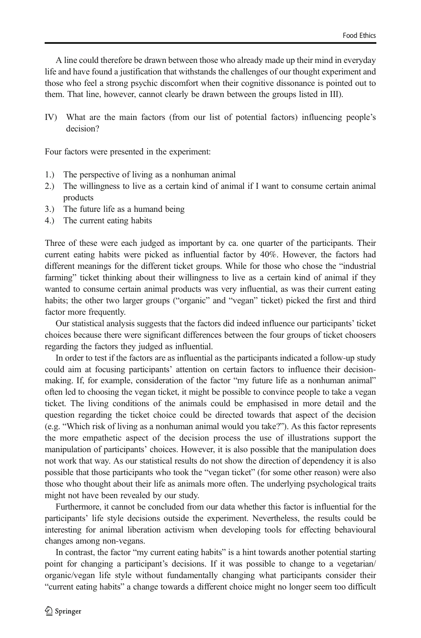A line could therefore be drawn between those who already made up their mind in everyday life and have found a justification that withstands the challenges of our thought experiment and those who feel a strong psychic discomfort when their cognitive dissonance is pointed out to them. That line, however, cannot clearly be drawn between the groups listed in III).

IV) What are the main factors (from our list of potential factors) influencing people's decision?

Four factors were presented in the experiment:

- 1.) The perspective of living as a nonhuman animal
- 2.) The willingness to live as a certain kind of animal if I want to consume certain animal products
- 3.) The future life as a humand being
- 4.) The current eating habits

Three of these were each judged as important by ca. one quarter of the participants. Their current eating habits were picked as influential factor by 40%. However, the factors had different meanings for the different ticket groups. While for those who chose the "industrial farming" ticket thinking about their willingness to live as a certain kind of animal if they wanted to consume certain animal products was very influential, as was their current eating habits; the other two larger groups ("organic" and "vegan" ticket) picked the first and third factor more frequently.

Our statistical analysis suggests that the factors did indeed influence our participants' ticket choices because there were significant differences between the four groups of ticket choosers regarding the factors they judged as influential.

In order to test if the factors are as influential as the participants indicated a follow-up study could aim at focusing participants' attention on certain factors to influence their decisionmaking. If, for example, consideration of the factor "my future life as a nonhuman animal" often led to choosing the vegan ticket, it might be possible to convince people to take a vegan ticket. The living conditions of the animals could be emphasised in more detail and the question regarding the ticket choice could be directed towards that aspect of the decision (e.g. "Which risk of living as a nonhuman animal would you take?"). As this factor represents the more empathetic aspect of the decision process the use of illustrations support the manipulation of participants' choices. However, it is also possible that the manipulation does not work that way. As our statistical results do not show the direction of dependency it is also possible that those participants who took the "vegan ticket" (for some other reason) were also those who thought about their life as animals more often. The underlying psychological traits might not have been revealed by our study.

Furthermore, it cannot be concluded from our data whether this factor is influential for the participants' life style decisions outside the experiment. Nevertheless, the results could be interesting for animal liberation activism when developing tools for effecting behavioural changes among non-vegans.

In contrast, the factor "my current eating habits" is a hint towards another potential starting point for changing a participant's decisions. If it was possible to change to a vegetarian/ organic/vegan life style without fundamentally changing what participants consider their "current eating habits" a change towards a different choice might no longer seem too difficult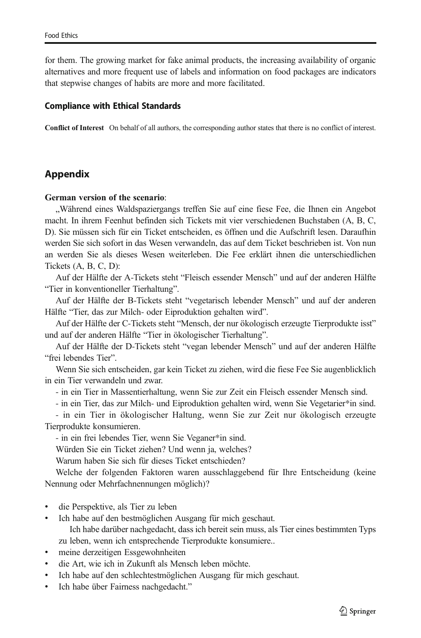for them. The growing market for fake animal products, the increasing availability of organic alternatives and more frequent use of labels and information on food packages are indicators that stepwise changes of habits are more and more facilitated.

### Compliance with Ethical Standards

Conflict of Interest On behalf of all authors, the corresponding author states that there is no conflict of interest.

## Appendix

### German version of the scenario:

"Während eines Waldspaziergangs treffen Sie auf eine fiese Fee, die Ihnen ein Angebot macht. In ihrem Feenhut befinden sich Tickets mit vier verschiedenen Buchstaben (A, B, C, D). Sie müssen sich für ein Ticket entscheiden, es öffnen und die Aufschrift lesen. Daraufhin werden Sie sich sofort in das Wesen verwandeln, das auf dem Ticket beschrieben ist. Von nun an werden Sie als dieses Wesen weiterleben. Die Fee erklärt ihnen die unterschiedlichen Tickets (A, B, C, D):

Auf der Hälfte der A-Tickets steht "Fleisch essender Mensch" und auf der anderen Hälfte "Tier in konventioneller Tierhaltung".

Auf der Hälfte der B-Tickets steht "vegetarisch lebender Mensch" und auf der anderen Hälfte "Tier, das zur Milch- oder Eiproduktion gehalten wird".

Auf der Hälfte der C-Tickets steht "Mensch, der nur ökologisch erzeugte Tierprodukte isst" und auf der anderen Hälfte "Tier in ökologischer Tierhaltung".

Auf der Hälfte der D-Tickets steht "vegan lebender Mensch" und auf der anderen Hälfte "frei lebendes Tier".

Wenn Sie sich entscheiden, gar kein Ticket zu ziehen, wird die fiese Fee Sie augenblicklich in ein Tier verwandeln und zwar.

- in ein Tier in Massentierhaltung, wenn Sie zur Zeit ein Fleisch essender Mensch sind.

- in ein Tier, das zur Milch- und Eiproduktion gehalten wird, wenn Sie Vegetarier\*in sind.

- in ein Tier in ökologischer Haltung, wenn Sie zur Zeit nur ökologisch erzeugte Tierprodukte konsumieren.

- in ein frei lebendes Tier, wenn Sie Veganer\*in sind.

Würden Sie ein Ticket ziehen? Und wenn ja, welches?

Warum haben Sie sich für dieses Ticket entschieden?

Welche der folgenden Faktoren waren ausschlaggebend für Ihre Entscheidung (keine Nennung oder Mehrfachnennungen möglich)?

- & die Perspektive, als Tier zu leben
- Ich habe auf den bestmöglichen Ausgang für mich geschaut. Ich habe darüber nachgedacht, dass ich bereit sein muss, als Tier eines bestimmten Typs zu leben, wenn ich entsprechende Tierprodukte konsumiere..
- & meine derzeitigen Essgewohnheiten
- & die Art, wie ich in Zukunft als Mensch leben möchte.
- & Ich habe auf den schlechtestmöglichen Ausgang für mich geschaut.
- Ich habe über Fairness nachgedacht."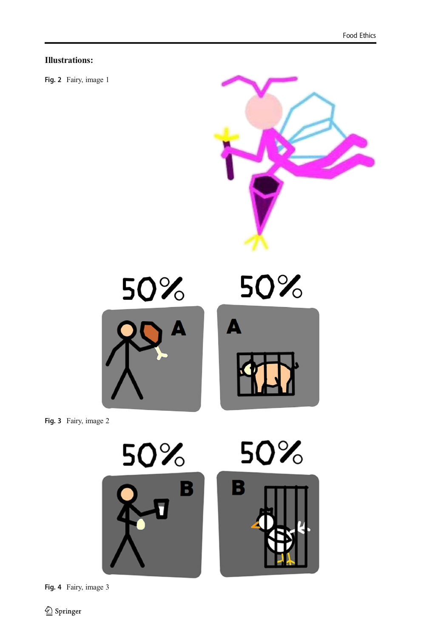### <span id="page-17-0"></span>Illustrations:

Fig. 2 Fairy, image 1



Fig. 3 Fairy, image 2



Fig. 4 Fairy, image 3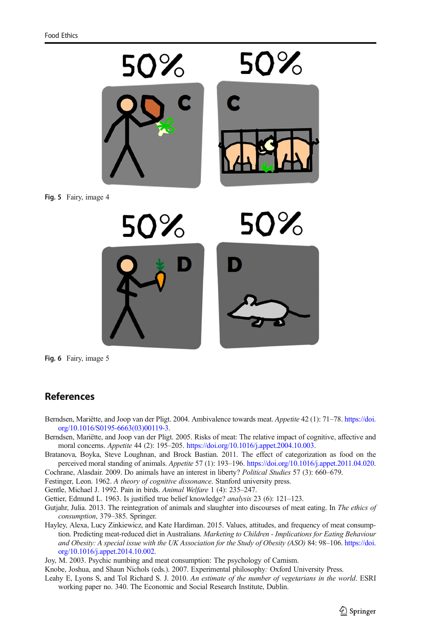<span id="page-18-0"></span>

Fig. 6 Fairy, image 5

## References

- Berndsen, Mariëtte, and Joop van der Pligt. 2004. Ambivalence towards meat. Appetite 42 (1): 71-78. [https://doi.](https://doi.org/10.1016/S0195-6663(03)00119-3) [org/10.1016/S0195-6663\(03\)00119-3.](https://doi.org/10.1016/S0195-6663(03)00119-3)
- Berndsen, Mariëtte, and Joop van der Pligt. 2005. Risks of meat: The relative impact of cognitive, affective and moral concerns. Appetite 44 (2): 195–205. [https://doi.org/10.1016/j.appet.2004.10.003.](https://doi.org/10.1016/j.appet.2004.10.003)
- Bratanova, Boyka, Steve Loughnan, and Brock Bastian. 2011. The effect of categorization as food on the perceived moral standing of animals. Appetite 57 (1): 193-196. [https://doi.org/10.1016/j.appet.2011.04.020.](https://doi.org/10.1016/j.appet.2011.04.020)
- Cochrane, Alasdair. 2009. Do animals have an interest in liberty? Political Studies 57 (3): 660–679.
- Festinger, Leon. 1962. A theory of cognitive dissonance. Stanford university press.

Gentle, Michael J. 1992. Pain in birds. Animal Welfare 1 (4): 235–247.

Gettier, Edmund L. 1963. Is justified true belief knowledge? *analysis* 23 (6): 121–123.

- Gutjahr, Julia. 2013. The reintegration of animals and slaughter into discourses of meat eating. In The ethics of consumption, 379–385. Springer.
- Hayley, Alexa, Lucy Zinkiewicz, and Kate Hardiman. 2015. Values, attitudes, and frequency of meat consumption. Predicting meat-reduced diet in Australians. Marketing to Children - Implications for Eating Behaviour and Obesity: A special issue with the UK Association for the Study of Obesity (ASO) 84: 98–106. [https://doi.](https://doi.org/10.1016/j.appet.2014.10.002) [org/10.1016/j.appet.2014.10.002](https://doi.org/10.1016/j.appet.2014.10.002).

Joy, M. 2003. Psychic numbing and meat consumption: The psychology of Carnism.

Knobe, Joshua, and Shaun Nichols (eds.). 2007. Experimental philosophy: Oxford University Press.

Leahy E, Lyons S, and Tol Richard S. J. 2010. An estimate of the number of vegetarians in the world. ESRI working paper no. 340. The Economic and Social Research Institute, Dublin.